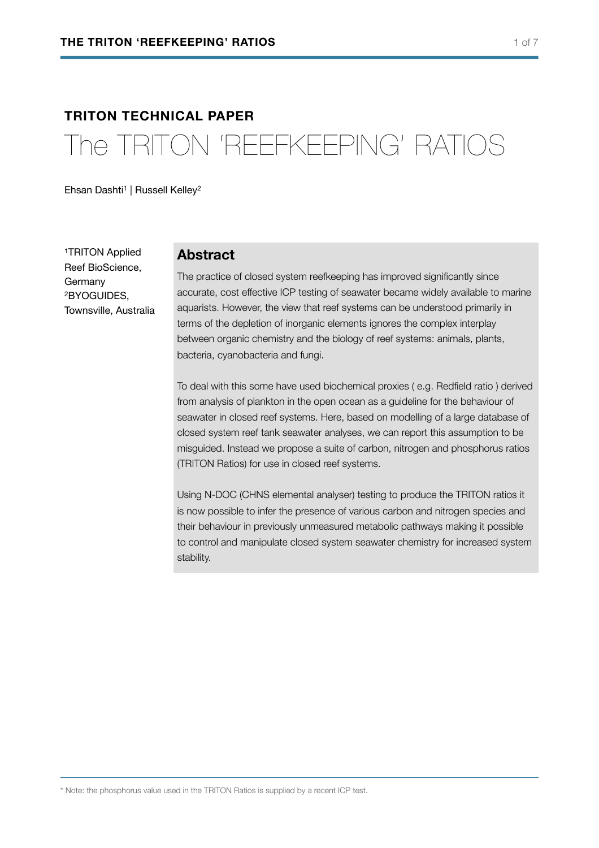# **TRITON TECHNICAL PAPER**  The TRITON 'REEFKEEPING' RATIOS

Ehsan Dashti<sup>1</sup> | Russell Kelley<sup>2</sup>

1TRITON Applied Reef BioScience, Germany 2BYOGUIDES, Townsville, Australia

#### **Abstract**

The practice of closed system reefkeeping has improved significantly since accurate, cost effective ICP testing of seawater became widely available to marine aquarists. However, the view that reef systems can be understood primarily in terms of the depletion of inorganic elements ignores the complex interplay between organic chemistry and the biology of reef systems: animals, plants, bacteria, cyanobacteria and fungi.

To deal with this some have used biochemical proxies ( e.g. Redfield ratio ) derived from analysis of plankton in the open ocean as a guideline for the behaviour of seawater in closed reef systems. Here, based on modelling of a large database of closed system reef tank seawater analyses, we can report this assumption to be misguided. Instead we propose a suite of carbon, nitrogen and phosphorus ratios (TRITON Ratios) for use in closed reef systems.

Using N-DOC (CHNS elemental analyser) testing to produce the TRITON ratios it is now possible to infer the presence of various carbon and nitrogen species and their behaviour in previously unmeasured metabolic pathways making it possible to control and manipulate closed system seawater chemistry for increased system stability.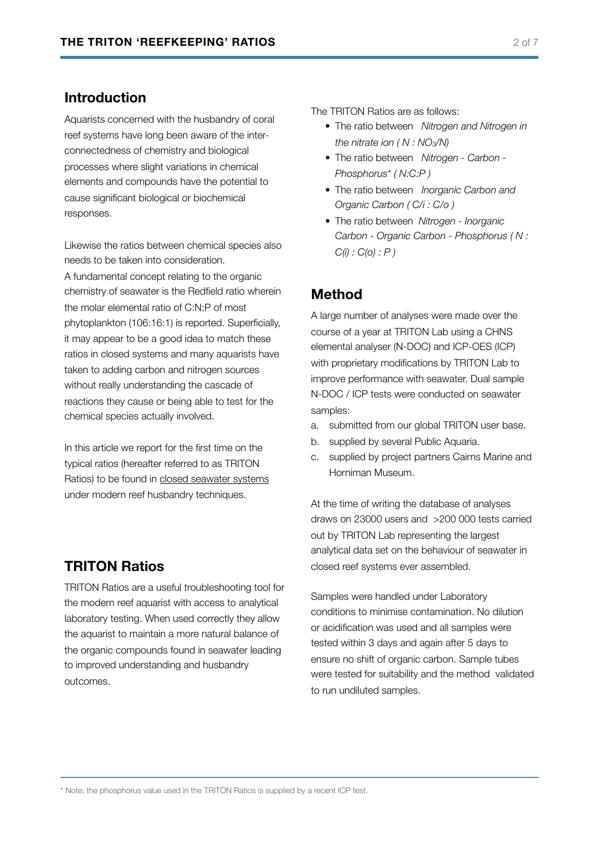#### **Introduction**

Aquarists concerned with the husbandry of coral reef systems have long been aware of the interconnectedness of chemistry and biological processes where slight variations in chemical elements and compounds have the potential to cause significant biological or biochemical responses.

Likewise the ratios between chemical species also needs to be taken into consideration.

A fundamental concept relating to the organic chemistry of seawater is the Redfield ratio wherein the molar elemental ratio of C:N:P of most phytoplankton (106:16:1) is reported. Superficially, it may appear to be a good idea to match these ratios in closed systems and many aquarists have taken to adding carbon and nitrogen sources without really understanding the cascade of reactions they cause or being able to test for the chemical species actually involved.

In this article we report for the first time on the typical ratios (hereafter referred to as TRITON Ratios) to be found in closed seawater systems under modern reef husbandry techniques.

#### **TRITON Ratios**

TRITON Ratios are a useful troubleshooting tool for the modern reef aquarist with access to analytical laboratory testing. When used correctly they allow the aquarist to maintain a more natural balance of the organic compounds found in seawater leading to improved understanding and husbandry outcomes.

The TRITON Ratios are as follows:

- The ratio between *Nitrogen and Nitrogen in the nitrate ion ( N : NO3/N)*
- The ratio between *Nitrogen Carbon Phosphorus\* ( N:C:P )*
- The ratio between *Inorganic Carbon and Organic Carbon ( C/i : C/o )*
- The ratio between *Nitrogen Inorganic Carbon - Organic Carbon - Phosphorus ( N : C(i) : C(o) : P )*

# **Method**

A large number of analyses were made over the course of a year at TRITON Lab using a CHNS elemental analyser (N-DOC) and ICP-OES (ICP) with proprietary modifications by TRITON Lab to improve performance with seawater. Dual sample N-DOC / ICP tests were conducted on seawater samples:

- a. submitted from our global TRITON user base.
- b. supplied by several Public Aquaria.
- c. supplied by project partners Cairns Marine and Horniman Museum.

At the time of writing the database of analyses draws on 23000 users and >200 000 tests carried out by TRITON Lab representing the largest analytical data set on the behaviour of seawater in closed reef systems ever assembled.

Samples were handled under Laboratory conditions to minimise contamination. No dilution or acidification was used and all samples were tested within 3 days and again after 5 days to ensure no shift of organic carbon. Sample tubes were tested for suitability and the method validated to run undiluted samples.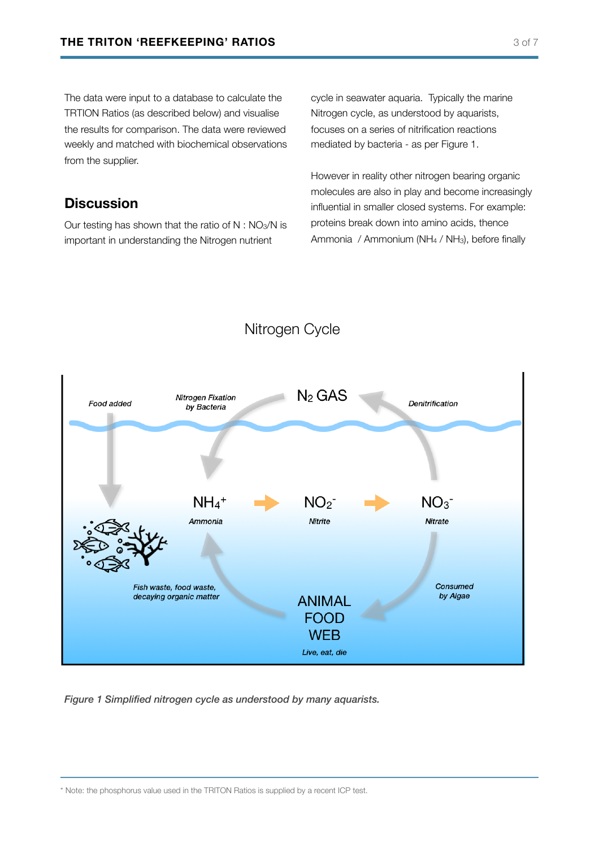The data were input to a database to calculate the TRTION Ratios (as described below) and visualise the results for comparison. The data were reviewed weekly and matched with biochemical observations from the supplier.

## **Discussion**

Our testing has shown that the ratio of  $N : NO<sub>3</sub>/N$  is important in understanding the Nitrogen nutrient

cycle in seawater aquaria. Typically the marine Nitrogen cycle, as understood by aquarists, focuses on a series of nitrification reactions mediated by bacteria - as per Figure 1.

However in reality other nitrogen bearing organic molecules are also in play and become increasingly influential in smaller closed systems. For example: proteins break down into amino acids, thence Ammonia / Ammonium (NH<sub>4</sub> / NH<sub>3</sub>), before finally



*Figure 1 Simplified nitrogen cycle as understood by many aquarists.*

<sup>\*</sup> Note: the phosphorus value used in the TRITON Ratios is supplied by a recent ICP test.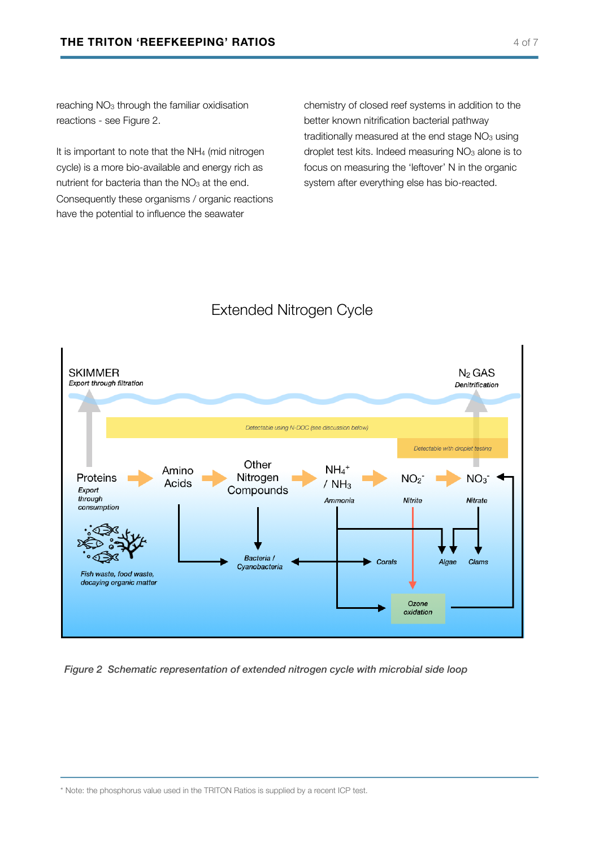reaching  $NO<sub>3</sub>$  through the familiar oxidisation reactions - see Figure 2.

It is important to note that the NH<sub>4</sub> (mid nitrogen cycle) is a more bio-available and energy rich as nutrient for bacteria than the  $NO<sub>3</sub>$  at the end. Consequently these organisms / organic reactions have the potential to influence the seawater

chemistry of closed reef systems in addition to the better known nitrification bacterial pathway traditionally measured at the end stage  $NO<sub>3</sub>$  using droplet test kits. Indeed measuring  $NO<sub>3</sub>$  alone is to focus on measuring the 'leftover' N in the organic system after everything else has bio-reacted.

# Extended Nitrogen Cycle



*Figure 2 Schematic representation of extended nitrogen cycle with microbial side loop*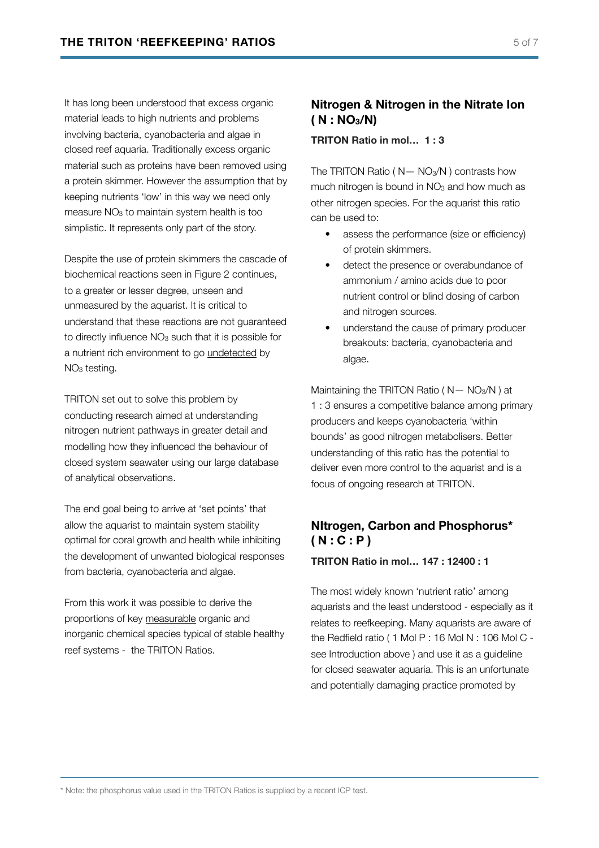It has long been understood that excess organic material leads to high nutrients and problems involving bacteria, cyanobacteria and algae in closed reef aquaria. Traditionally excess organic material such as proteins have been removed using a protein skimmer. However the assumption that by keeping nutrients 'low' in this way we need only measure  $NO<sub>3</sub>$  to maintain system health is too simplistic. It represents only part of the story.

Despite the use of protein skimmers the cascade of biochemical reactions seen in Figure 2 continues, to a greater or lesser degree, unseen and unmeasured by the aquarist. It is critical to understand that these reactions are not guaranteed to directly influence NO<sub>3</sub> such that it is possible for a nutrient rich environment to go undetected by NO<sub>3</sub> testing.

TRITON set out to solve this problem by conducting research aimed at understanding nitrogen nutrient pathways in greater detail and modelling how they influenced the behaviour of closed system seawater using our large database of analytical observations.

The end goal being to arrive at 'set points' that allow the aquarist to maintain system stability optimal for coral growth and health while inhibiting the development of unwanted biological responses from bacteria, cyanobacteria and algae.

From this work it was possible to derive the proportions of key measurable organic and inorganic chemical species typical of stable healthy reef systems - the TRITON Ratios.

#### **Nitrogen & Nitrogen in the Nitrate Ion ( N : NO3/N)**

**TRITON Ratio in mol… 1 : 3** 

The TRITON Ratio ( $N - NO<sub>3</sub>/N$ ) contrasts how much nitrogen is bound in  $NO<sub>3</sub>$  and how much as other nitrogen species. For the aquarist this ratio can be used to:

- assess the performance (size or efficiency) of protein skimmers.
- detect the presence or overabundance of ammonium / amino acids due to poor nutrient control or blind dosing of carbon and nitrogen sources.
- understand the cause of primary producer breakouts: bacteria, cyanobacteria and algae.

Maintaining the TRITON Ratio ( $N - NO<sub>3</sub>/N$ ) at 1 : 3 ensures a competitive balance among primary producers and keeps cyanobacteria 'within bounds' as good nitrogen metabolisers. Better understanding of this ratio has the potential to deliver even more control to the aquarist and is a focus of ongoing research at TRITON.

## **NItrogen, Carbon and Phosphorus\* ( N : C : P )**

**TRITON Ratio in mol… 147 : 12400 : 1** 

The most widely known 'nutrient ratio' among aquarists and the least understood - especially as it relates to reefkeeping. Many aquarists are aware of the Redfield ratio ( 1 Mol P : 16 Mol N : 106 Mol C see Introduction above ) and use it as a guideline for closed seawater aquaria. This is an unfortunate and potentially damaging practice promoted by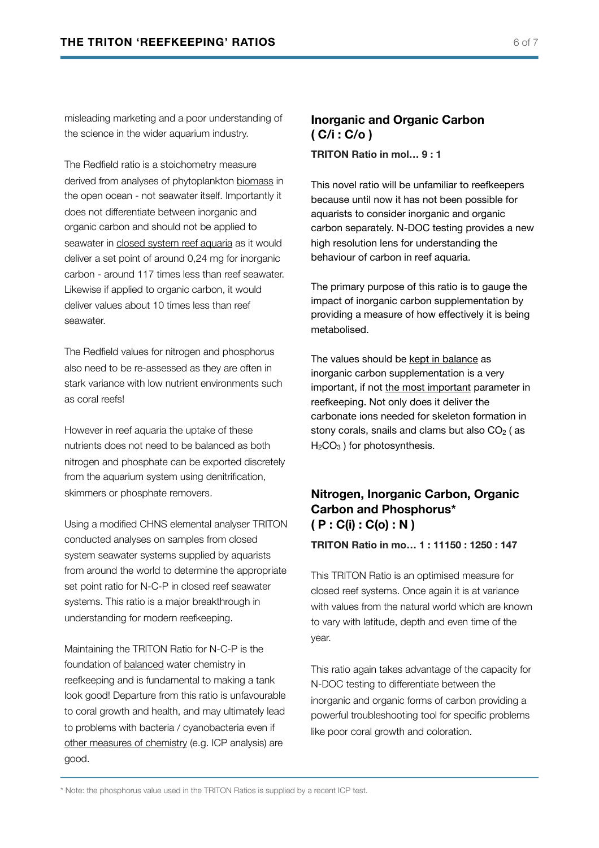misleading marketing and a poor understanding of the science in the wider aquarium industry.

The Redfield ratio is a stoichometry measure derived from analyses of phytoplankton biomass in the open ocean - not seawater itself. Importantly it does not differentiate between inorganic and organic carbon and should not be applied to seawater in closed system reef aquaria as it would deliver a set point of around 0,24 mg for inorganic carbon - around 117 times less than reef seawater. Likewise if applied to organic carbon, it would deliver values about 10 times less than reef seawater.

The Redfield values for nitrogen and phosphorus also need to be re-assessed as they are often in stark variance with low nutrient environments such as coral reefs!

However in reef aquaria the uptake of these nutrients does not need to be balanced as both nitrogen and phosphate can be exported discretely from the aquarium system using denitrification, skimmers or phosphate removers.

Using a modified CHNS elemental analyser TRITON conducted analyses on samples from closed system seawater systems supplied by aquarists from around the world to determine the appropriate set point ratio for N-C-P in closed reef seawater systems. This ratio is a major breakthrough in understanding for modern reefkeeping.

Maintaining the TRITON Ratio for N-C-P is the foundation of balanced water chemistry in reefkeeping and is fundamental to making a tank look good! Departure from this ratio is unfavourable to coral growth and health, and may ultimately lead to problems with bacteria / cyanobacteria even if other measures of chemistry (e.g. ICP analysis) are good.

# **Inorganic and Organic Carbon ( C/i : C/o )**

**TRITON Ratio in mol… 9 : 1** 

This novel ratio will be unfamiliar to reefkeepers because until now it has not been possible for aquarists to consider inorganic and organic carbon separately. N-DOC testing provides a new high resolution lens for understanding the behaviour of carbon in reef aquaria.

The primary purpose of this ratio is to gauge the impact of inorganic carbon supplementation by providing a measure of how effectively it is being metabolised.

The values should be kept in balance as inorganic carbon supplementation is a very important, if not the most important parameter in reefkeeping. Not only does it deliver the carbonate ions needed for skeleton formation in stony corals, snails and clams but also  $CO<sub>2</sub>$  (as H<sub>2</sub>CO<sub>3</sub>) for photosynthesis.

#### **Nitrogen, Inorganic Carbon, Organic Carbon and Phosphorus\* ( P : C(i) : C(o) : N )**

**TRITON Ratio in mo… 1 : 11150 : 1250 : 147** 

This TRITON Ratio is an optimised measure for closed reef systems. Once again it is at variance with values from the natural world which are known to vary with latitude, depth and even time of the year.

This ratio again takes advantage of the capacity for N-DOC testing to differentiate between the inorganic and organic forms of carbon providing a powerful troubleshooting tool for specific problems like poor coral growth and coloration.